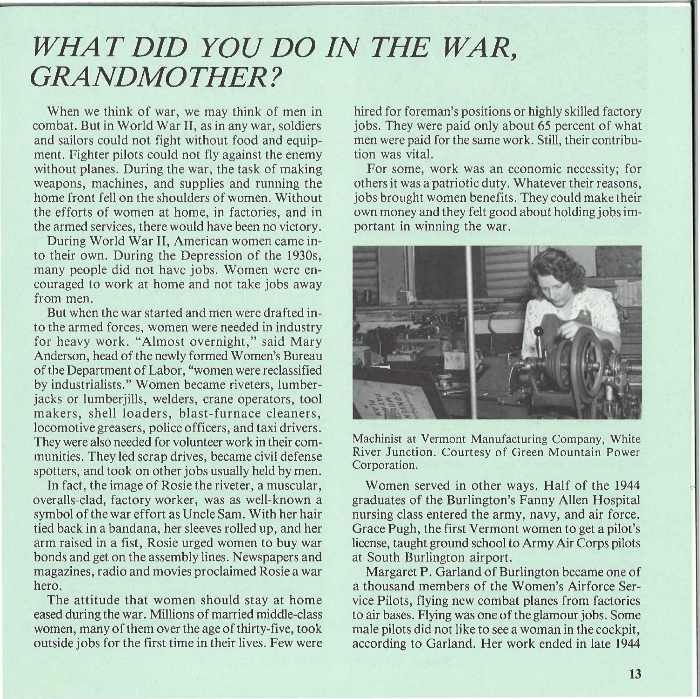## *WHAT DID YOU DO IN THE WAR, GRANDMOTHER?*

When we think of war, we may think of men in combat. But in World War II, as in any war, soldiers and sailors could not fight without food and equipment. Fighter pilots could not fly against the enemy without planes. During the war, the task of making weapons, machines, and supplies and running the home front fell on the shoulders of women. Without the efforts of women at home, in factories, and in the armed services, there would have been no victory.

During World War II, American women came into their own. During the Depression of the 1930s, many people did not have jobs. Women were encouraged to work at home and not take jobs away from men.

But when the war started and men were drafted into the armed forces, women were needed in industry for heavy work. "Almost overnight," said Mary Anderson, head of the newly formed Women's Bureau of the Department of Labor, "women were reclassified by industrialists." Women became riveters, lumberjacks or lumberjills, welders, crane operators, tool makers, shell loaders, blast-furnace cleaners, locomotive greasers, police officers, and taxi drivers. They were also needed for volunteer work in their communities. They led scrap drives, became civil defense spotters, and took on other jobs usually held by men.

In fact, the image of Rosie the riveter, a muscular, overalls-clad, factory worker, was as well-known a symbol of the war effort as Uncle Sam. With her hair tied back in a bandana, her sleeves rolled up, and her arm raised in a fist, Rosie urged women 'to buy war bonds and get on the assembly lines. Newspapers and magazines, radio and movies proclaimed Rosie a war hero.

The attitude that women should stay at home eased during the war. Millions of married middle-class women, many of them over the age of thirty-five, took outside jobs for the first time in their lives. Few were hired for foreman's positions or highly skilled factory jobs. They were paid only about 65 percent of what men were paid for the same work. Still, their contribution was vital.

For some, work was an economic necessity; for others it was a patriotic duty. Whatever their reasons, jobs brought women benefits. They could make their own money and they felt good about holding jobs important in winning the war.



Machinist at Vermont Manufacturing Company, White River Junction. Courtesy of Green Mountain Power Corporation.

Women served in other ways. Half of the 1944 graduates of the Burlington's Fanny Allen Hospital nursing class entered the army, navy, and air force. Grace Pugh, the first Vermont women to get a pilot's license, taught ground school to Army Air Corps pilots at South Burlington airport.

Margaret P. Garland of Burlington became one of a thousand members of the Women's Airforce Service Pilots, flying new combat planes from factories to air bases. Flying was one of the glamour jobs. Some male pilots did not like to see a woman in the cockpit, according to Garland. Her work ended in late 1944